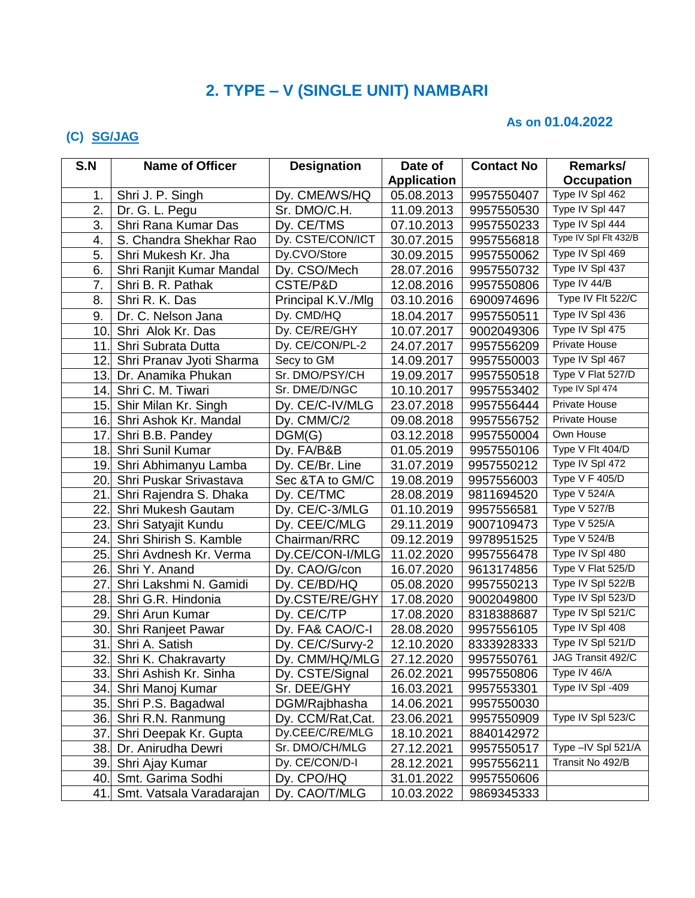# **2. TYPE – V (SINGLE UNIT) NAMBARI**

### **As on 01.04.2022**

### **(C) SG/JAG**

| S.N | <b>Name of Officer</b>    | <b>Designation</b> | Date of            | <b>Contact No</b> | Remarks/                      |
|-----|---------------------------|--------------------|--------------------|-------------------|-------------------------------|
|     |                           |                    | <b>Application</b> |                   | <b>Occupation</b>             |
| 1.  | Shri J. P. Singh          | Dy. CME/WS/HQ      | 05.08.2013         | 9957550407        | Type IV Spl 462               |
| 2.  | Dr. G. L. Pegu            | Sr. DMO/C.H.       | 11.09.2013         | 9957550530        | Type IV Spl 447               |
| 3.  | Shri Rana Kumar Das       | Dy. CE/TMS         | 07.10.2013         | 9957550233        | Type IV Spl 444               |
| 4.  | S. Chandra Shekhar Rao    | Dy. CSTE/CON/ICT   | 30.07.2015         | 9957556818        | Type IV Spl Flt 432/B         |
| 5.  | Shri Mukesh Kr. Jha       | Dy.CVO/Store       | 30.09.2015         | 9957550062        | Type IV Spl 469               |
| 6.  | Shri Ranjit Kumar Mandal  | Dy. CSO/Mech       | 28.07.2016         | 9957550732        | Type IV Spl 437               |
| 7.  | Shri B. R. Pathak         | CSTE/P&D           | 12.08.2016         | 9957550806        | Type IV 44/B                  |
| 8.  | Shri R. K. Das            | Principal K.V./Mlg | 03.10.2016         | 6900974696        | Type IV Flt 522/C             |
| 9.  | Dr. C. Nelson Jana        | Dy. CMD/HQ         | 18.04.2017         | 9957550511        | Type IV Spl 436               |
| 10  | Shri Alok Kr. Das         | Dy. CE/RE/GHY      | 10.07.2017         | 9002049306        | Type IV Spl 475               |
| 11  | Shri Subrata Dutta        | Dy. CE/CON/PL-2    | 24.07.2017         | 9957556209        | Private House                 |
| 12. | Shri Pranav Jyoti Sharma  | Secy to GM         | 14.09.2017         | 9957550003        | Type IV Spl 467               |
| 13. | Dr. Anamika Phukan        | Sr. DMO/PSY/CH     | 19.09.2017         | 9957550518        | Type V Flat 527/D             |
| 14. | Shri C. M. Tiwari         | Sr. DME/D/NGC      | 10.10.2017         | 9957553402        | Type IV Spl 474               |
| 15. | Shir Milan Kr. Singh      | Dy. CE/C-IV/MLG    | 23.07.2018         | 9957556444        | Private House                 |
|     | 16. Shri Ashok Kr. Mandal | Dy. CMM/C/2        | 09.08.2018         | 9957556752        | Private House                 |
| 17. | Shri B.B. Pandey          | DGM(G)             | 03.12.2018         | 9957550004        | Own House                     |
| 18. | Shri Sunil Kumar          | Dy. FA/B&B         | 01.05.2019         | 9957550106        | Type V Flt 404/D              |
| 19. | Shri Abhimanyu Lamba      | Dy. CE/Br. Line    | 31.07.2019         | 9957550212        | Type IV Spl 472               |
| 20. | Shri Puskar Srivastava    | Sec & TA to GM/C   | 19.08.2019         | 9957556003        | Type $V$ $\overline{F}$ 405/D |
| 21  | Shri Rajendra S. Dhaka    | Dy. CE/TMC         | 28.08.2019         | 9811694520        | Type V 524/A                  |
| 22  | Shri Mukesh Gautam        | Dy. CE/C-3/MLG     | 01.10.2019         | 9957556581        | <b>Type V 527/B</b>           |
| 23. | Shri Satyajit Kundu       | Dy. CEE/C/MLG      | 29.11.2019         | 9007109473        | Type V 525/A                  |
| 24. | Shri Shirish S. Kamble    | Chairman/RRC       | 09.12.2019         | 9978951525        | <b>Type V 524/B</b>           |
| 25. | Shri Avdnesh Kr. Verma    | Dy.CE/CON-I/MLG    | 11.02.2020         | 9957556478        | Type IV Spl 480               |
| 26. | Shri Y. Anand             | Dy. CAO/G/con      | 16.07.2020         | 9613174856        | Type V Flat 525/D             |
| 27  | Shri Lakshmi N. Gamidi    | Dy. CE/BD/HQ       | 05.08.2020         | 9957550213        | Type IV Spl 522/B             |
| 28. | Shri G.R. Hindonia        | Dy.CSTE/RE/GHY     | 17.08.2020         | 9002049800        | Type IV Spl 523/D             |
| 29. | Shri Arun Kumar           | Dy. CE/C/TP        | 17.08.2020         | 8318388687        | Type IV Spl 521/C             |
| 30. | Shri Ranjeet Pawar        | Dy. FA& CAO/C-I    | 28.08.2020         | 9957556105        | Type IV Spl 408               |
| 31  | Shri A. Satish            | Dy. CE/C/Survy-2   | 12.10.2020         | 8333928333        | Type IV Spl 521/D             |
|     | 32. Shri K. Chakravarty   | Dy. CMM/HQ/MLG     | 27.12.2020         | 9957550761        | JAG Transit 492/C             |
|     | 33. Shri Ashish Kr. Sinha | Dy. CSTE/Signal    | 26.02.2021         | 9957550806        | Type IV 46/A                  |
|     | 34. Shri Manoj Kumar      | Sr. DEE/GHY        | 16.03.2021         | 9957553301        | Type IV Spl -409              |
|     | 35. Shri P.S. Bagadwal    | DGM/Rajbhasha      | 14.06.2021         | 9957550030        |                               |
|     | 36. Shri R.N. Ranmung     | Dy. CCM/Rat, Cat.  | 23.06.2021         | 9957550909        | Type IV Spl 523/C             |
| 37. | Shri Deepak Kr. Gupta     | Dy.CEE/C/RE/MLG    | 18.10.2021         | 8840142972        |                               |
| 38. | Dr. Anirudha Dewri        | Sr. DMO/CH/MLG     | 27.12.2021         | 9957550517        | Type - IV Spl 521/A           |
| 39. | Shri Ajay Kumar           | Dy. CE/CON/D-I     | 28.12.2021         | 9957556211        | Transit No 492/B              |
| 40. | Smt. Garima Sodhi         | Dy. CPO/HQ         | 31.01.2022         | 9957550606        |                               |
| 41. | Smt. Vatsala Varadarajan  | Dy. CAO/T/MLG      | 10.03.2022         | 9869345333        |                               |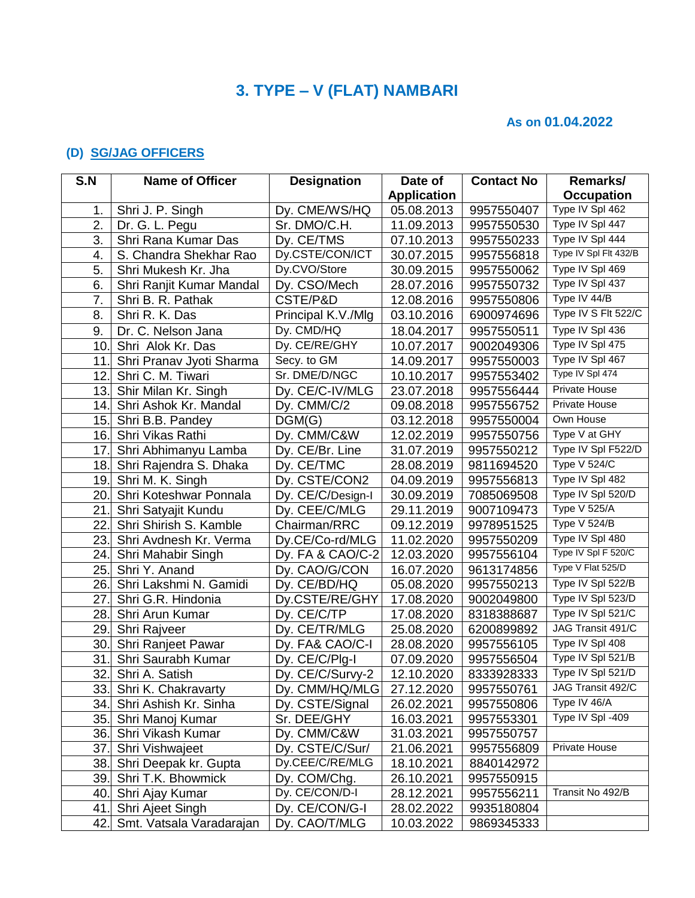## **3. TYPE – V (FLAT) NAMBARI**

#### **As on 01.04.2022**

### **(D) SG/JAG OFFICERS**

| S.N  | <b>Name of Officer</b>   | <b>Designation</b> | Date of            | <b>Contact No</b> | Remarks/              |
|------|--------------------------|--------------------|--------------------|-------------------|-----------------------|
|      |                          |                    | <b>Application</b> |                   | <b>Occupation</b>     |
| 1.   | Shri J. P. Singh         | Dy. CME/WS/HQ      | 05.08.2013         | 9957550407        | Type IV Spl 462       |
| 2.   | Dr. G. L. Pegu           | Sr. DMO/C.H.       | 11.09.2013         | 9957550530        | Type IV Spl 447       |
| 3.   | Shri Rana Kumar Das      | Dy. CE/TMS         | 07.10.2013         | 9957550233        | Type IV Spl 444       |
| 4.   | S. Chandra Shekhar Rao   | Dy.CSTE/CON/ICT    | 30.07.2015         | 9957556818        | Type IV Spl Flt 432/B |
| 5.   | Shri Mukesh Kr. Jha      | Dy.CVO/Store       | 30.09.2015         | 9957550062        | Type IV Spl 469       |
| 6.   | Shri Ranjit Kumar Mandal | Dy. CSO/Mech       | 28.07.2016         | 9957550732        | Type IV Spl 437       |
| 7.   | Shri B. R. Pathak        | CSTE/P&D           | 12.08.2016         | 9957550806        | Type IV 44/B          |
| 8.   | Shri R. K. Das           | Principal K.V./Mlg | 03.10.2016         | 6900974696        | Type IV S Flt 522/C   |
| 9.   | Dr. C. Nelson Jana       | Dy. CMD/HQ         | 18.04.2017         | 9957550511        | Type IV Spl 436       |
| 10.  | Shri Alok Kr. Das        | Dy. CE/RE/GHY      | 10.07.2017         | 9002049306        | Type IV Spl 475       |
| 11   | Shri Pranav Jyoti Sharma | Secy. to GM        | 14.09.2017         | 9957550003        | Type IV Spl 467       |
| 12   | Shri C. M. Tiwari        | Sr. DME/D/NGC      | 10.10.2017         | 9957553402        | Type IV Spl 474       |
| 13.  | Shir Milan Kr. Singh     | Dy. CE/C-IV/MLG    | 23.07.2018         | 9957556444        | <b>Private House</b>  |
| 14.  | Shri Ashok Kr. Mandal    | Dy. CMM/C/2        | 09.08.2018         | 9957556752        | <b>Private House</b>  |
| 15.  | Shri B.B. Pandey         | DGM(G)             | 03.12.2018         | 9957550004        | Own House             |
| 16.  | Shri Vikas Rathi         | Dy. CMM/C&W        | 12.02.2019         | 9957550756        | Type V at GHY         |
| 17   | Shri Abhimanyu Lamba     | Dy. CE/Br. Line    | 31.07.2019         | 9957550212        | Type IV Spl F522/D    |
| 18.  | Shri Rajendra S. Dhaka   | Dy. CE/TMC         | 28.08.2019         | 9811694520        | <b>Type V 524/C</b>   |
| 19.  | Shri M. K. Singh         | Dy. CSTE/CON2      | 04.09.2019         | 9957556813        | Type IV Spl 482       |
| 20.  | Shri Koteshwar Ponnala   | Dy. CE/C/Design-I  | 30.09.2019         | 7085069508        | Type IV Spl 520/D     |
| 21.  | Shri Satyajit Kundu      | Dy. CEE/C/MLG      | 29.11.2019         | 9007109473        | Type V 525/A          |
| 22   | Shri Shirish S. Kamble   | Chairman/RRC       | 09.12.2019         | 9978951525        | Type V 524/B          |
| 23.  | Shri Avdnesh Kr. Verma   | Dy.CE/Co-rd/MLG    | 11.02.2020         | 9957550209        | Type IV Spl 480       |
| 24.  | Shri Mahabir Singh       | Dy. FA & CAO/C-2   | 12.03.2020         | 9957556104        | Type IV Spl F 520/C   |
| 25.  | Shri Y. Anand            | Dy. CAO/G/CON      | 16.07.2020         | 9613174856        | Type V Flat 525/D     |
| 26.  | Shri Lakshmi N. Gamidi   | Dy. CE/BD/HQ       | 05.08.2020         | 9957550213        | Type IV Spl 522/B     |
| 27   | Shri G.R. Hindonia       | Dy.CSTE/RE/GHY     | 17.08.2020         | 9002049800        | Type IV Spl 523/D     |
| 28.  | Shri Arun Kumar          | Dy. CE/C/TP        | 17.08.2020         | 8318388687        | Type IV Spl 521/C     |
| 29.  | Shri Rajveer             | Dy. CE/TR/MLG      | 25.08.2020         | 6200899892        | JAG Transit 491/C     |
| 30.  | Shri Ranjeet Pawar       | Dy. FA& CAO/C-I    | 28.08.2020         | 9957556105        | Type IV Spl 408       |
| 31.  | Shri Saurabh Kumar       | Dy. CE/C/Plg-I     | 07.09.2020         | 9957556504        | Type IV Spl 521/B     |
| 32.  | Shri A. Satish           | Dy. CE/C/Survy-2   | 12.10.2020         | 8333928333        | Type IV Spl 521/D     |
|      | 33. Shri K. Chakravarty  | Dy. CMM/HQ/MLG     | 27.12.2020         | 9957550761        | JAG Transit 492/C     |
| 34.  | Shri Ashish Kr. Sinha    | Dy. CSTE/Signal    | 26.02.2021         | 9957550806        | Type IV 46/A          |
| 35.  | Shri Manoj Kumar         | Sr. DEE/GHY        | 16.03.2021         | 9957553301        | Type IV Spl -409      |
| 36.I | Shri Vikash Kumar        | Dy. CMM/C&W        | 31.03.2021         | 9957550757        |                       |
| 37.  | Shri Vishwajeet          | Dy. CSTE/C/Sur/    | 21.06.2021         | 9957556809        | <b>Private House</b>  |
| 38.  | Shri Deepak kr. Gupta    | Dy.CEE/C/RE/MLG    | 18.10.2021         | 8840142972        |                       |
| 39.  | Shri T.K. Bhowmick       | Dy. COM/Chg.       | 26.10.2021         | 9957550915        |                       |
| 40.l | Shri Ajay Kumar          | Dy. CE/CON/D-I     | 28.12.2021         | 9957556211        | Transit No 492/B      |
| 41.  | Shri Ajeet Singh         | Dy. CE/CON/G-I     | 28.02.2022         | 9935180804        |                       |
| 42.  | Smt. Vatsala Varadarajan | Dy. CAO/T/MLG      | 10.03.2022         | 9869345333        |                       |